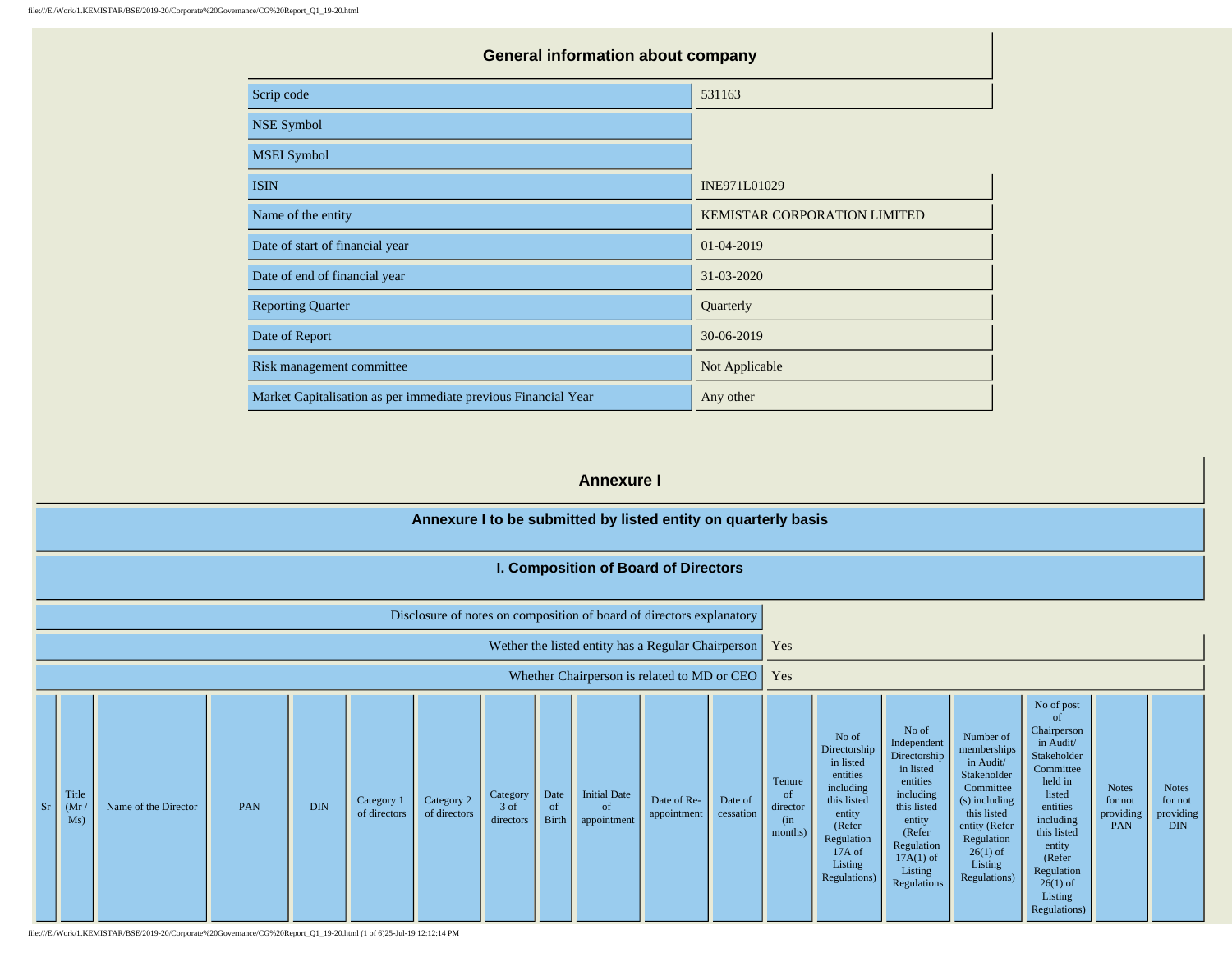| <b>General information about company</b>                       |                              |  |  |  |  |  |  |  |  |
|----------------------------------------------------------------|------------------------------|--|--|--|--|--|--|--|--|
| Scrip code                                                     | 531163                       |  |  |  |  |  |  |  |  |
| <b>NSE Symbol</b>                                              |                              |  |  |  |  |  |  |  |  |
| <b>MSEI</b> Symbol                                             |                              |  |  |  |  |  |  |  |  |
| <b>ISIN</b>                                                    | INE971L01029                 |  |  |  |  |  |  |  |  |
| Name of the entity                                             | KEMISTAR CORPORATION LIMITED |  |  |  |  |  |  |  |  |
| Date of start of financial year                                | 01-04-2019                   |  |  |  |  |  |  |  |  |
| Date of end of financial year                                  | 31-03-2020                   |  |  |  |  |  |  |  |  |
| <b>Reporting Quarter</b>                                       | Quarterly                    |  |  |  |  |  |  |  |  |
| Date of Report                                                 | 30-06-2019                   |  |  |  |  |  |  |  |  |
| Risk management committee                                      | Not Applicable               |  |  |  |  |  |  |  |  |
| Market Capitalisation as per immediate previous Financial Year | Any other                    |  |  |  |  |  |  |  |  |

#### **Annexure I**

|    | Annexure I to be submitted by listed entity on quarterly basis       |                      |     |            |                            |                            |                               |                            |                                          |                                                    |                      |                                                        |                                                                                                                                                   |                                                                                                                                                                      |                                                                                                                                                                           |                                                                                                                                                                                                                  |                                             |                                             |
|----|----------------------------------------------------------------------|----------------------|-----|------------|----------------------------|----------------------------|-------------------------------|----------------------------|------------------------------------------|----------------------------------------------------|----------------------|--------------------------------------------------------|---------------------------------------------------------------------------------------------------------------------------------------------------|----------------------------------------------------------------------------------------------------------------------------------------------------------------------|---------------------------------------------------------------------------------------------------------------------------------------------------------------------------|------------------------------------------------------------------------------------------------------------------------------------------------------------------------------------------------------------------|---------------------------------------------|---------------------------------------------|
|    | I. Composition of Board of Directors                                 |                      |     |            |                            |                            |                               |                            |                                          |                                                    |                      |                                                        |                                                                                                                                                   |                                                                                                                                                                      |                                                                                                                                                                           |                                                                                                                                                                                                                  |                                             |                                             |
|    | Disclosure of notes on composition of board of directors explanatory |                      |     |            |                            |                            |                               |                            |                                          |                                                    |                      |                                                        |                                                                                                                                                   |                                                                                                                                                                      |                                                                                                                                                                           |                                                                                                                                                                                                                  |                                             |                                             |
|    |                                                                      |                      |     |            |                            |                            |                               |                            |                                          | Wether the listed entity has a Regular Chairperson |                      | Yes                                                    |                                                                                                                                                   |                                                                                                                                                                      |                                                                                                                                                                           |                                                                                                                                                                                                                  |                                             |                                             |
|    |                                                                      |                      |     |            |                            |                            |                               |                            |                                          | Whether Chairperson is related to MD or CEO        |                      | Yes                                                    |                                                                                                                                                   |                                                                                                                                                                      |                                                                                                                                                                           |                                                                                                                                                                                                                  |                                             |                                             |
| Sr | Title<br>(Mr)<br>Ms)                                                 | Name of the Director | PAN | <b>DIN</b> | Category 1<br>of directors | Category 2<br>of directors | Category<br>3 of<br>directors | Date<br>of<br><b>Birth</b> | <b>Initial Date</b><br>of<br>appointment | Date of Re-<br>appointment                         | Date of<br>cessation | Tenure<br><sub>of</sub><br>director<br>(in)<br>months) | No of<br>Directorship<br>in listed<br>entities<br>including<br>this listed<br>entity<br>(Refer<br>Regulation<br>17A of<br>Listing<br>Regulations) | No of<br>Independent<br>Directorship<br>in listed<br>entities<br>including<br>this listed<br>entity<br>(Refer<br>Regulation<br>$17A(1)$ of<br>Listing<br>Regulations | Number of<br>memberships<br>in Audit/<br>Stakeholder<br>Committee<br>(s) including<br>this listed<br>entity (Refer<br>Regulation<br>$26(1)$ of<br>Listing<br>Regulations) | No of post<br>of<br>Chairperson<br>in Audit/<br>Stakeholder<br>Committee<br>held in<br>listed<br>entities<br>including<br>this listed<br>entity<br>(Refer<br>Regulation<br>$26(1)$ of<br>Listing<br>Regulations) | <b>Notes</b><br>for not<br>providing<br>PAN | <b>Notes</b><br>for not<br>providing<br>DIN |

file:///E|/Work/1.KEMISTAR/BSE/2019-20/Corporate%20Governance/CG%20Report\_Q1\_19-20.html (1 of 6)25-Jul-19 12:12:14 PM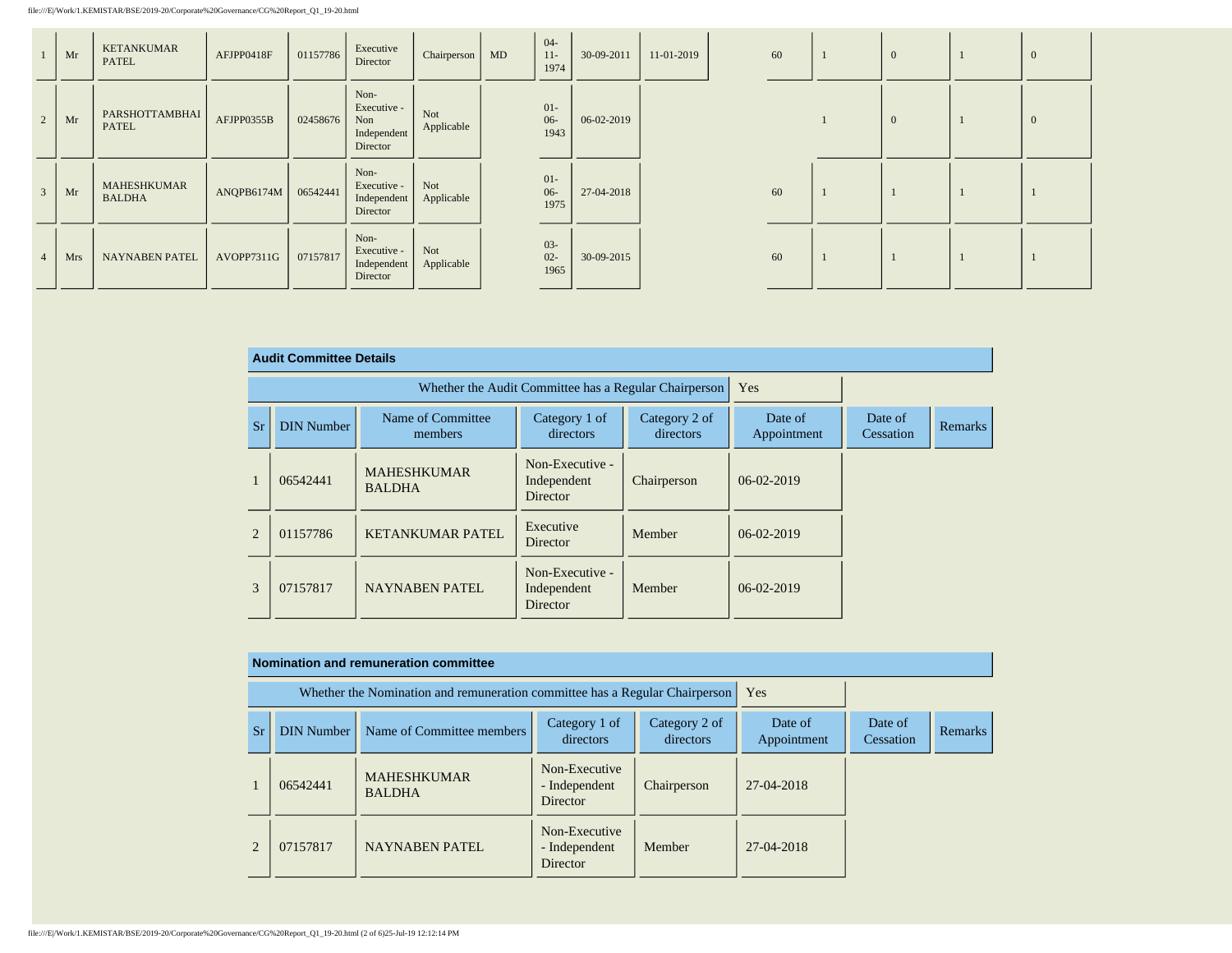file:///E|/Work/1.KEMISTAR/BSE/2019-20/Corporate%20Governance/CG%20Report\_Q1\_19-20.html

|                | Mr  | <b>KETANKUMAR</b><br><b>PATEL</b>   | AFJPP0418F | 01157786 | Executive<br>Director                                 | Chairperson   MD  | $04 -$<br>$11 -$<br>1974 | 30-09-2011 | 11-01-2019 | 60 |  | $\mathbf{0}$ | - U      |
|----------------|-----|-------------------------------------|------------|----------|-------------------------------------------------------|-------------------|--------------------------|------------|------------|----|--|--------------|----------|
| 2              | Mr  | PARSHOTTAMBHAI<br><b>PATEL</b>      | AFJPP0355B | 02458676 | Non-<br>Executive -<br>Non<br>Independent<br>Director | Not<br>Applicable | $01 -$<br>$06 -$<br>1943 | 06-02-2019 |            |    |  | $\mathbf{0}$ | $\theta$ |
| $\overline{3}$ | Mr  | <b>MAHESHKUMAR</b><br><b>BALDHA</b> | ANQPB6174M | 06542441 | Non-<br>Executive -<br>Independent<br>Director        | Not<br>Applicable | $01 -$<br>$06 -$<br>1975 | 27-04-2018 |            | 60 |  |              |          |
| $\overline{4}$ | Mrs | <b>NAYNABEN PATEL</b>               | AVOPP7311G | 07157817 | Non-<br>Executive -<br>Independent<br>Director        | Not<br>Applicable | $03 -$<br>$02 -$<br>1965 | 30-09-2015 |            | 60 |  |              |          |

|                | <b>Audit Committee Details</b> |                                     |                                                       |                            |                        |                      |                |  |  |  |  |  |
|----------------|--------------------------------|-------------------------------------|-------------------------------------------------------|----------------------------|------------------------|----------------------|----------------|--|--|--|--|--|
|                |                                |                                     | Whether the Audit Committee has a Regular Chairperson | Yes                        |                        |                      |                |  |  |  |  |  |
| <b>Sr</b>      | <b>DIN Number</b>              | Name of Committee<br>members        | Category 1 of<br>directors                            | Category 2 of<br>directors | Date of<br>Appointment | Date of<br>Cessation | <b>Remarks</b> |  |  |  |  |  |
|                | 06542441                       | <b>MAHESHKUMAR</b><br><b>BALDHA</b> | Non-Executive -<br>Independent<br>Director            | Chairperson                | 06-02-2019             |                      |                |  |  |  |  |  |
| $\overline{2}$ | 01157786                       | <b>KETANKUMAR PATEL</b>             | Executive<br>Director                                 | Member                     | $06-02-2019$           |                      |                |  |  |  |  |  |
| 3              | 07157817                       | <b>NAYNABEN PATEL</b>               | Non-Executive -<br>Independent<br>Director            | Member                     | $06-02-2019$           |                      |                |  |  |  |  |  |

#### **Nomination and remuneration committee**

|                       |                   | Whether the Nomination and remuneration committee has a Regular Chairperson |                                                   | Yes                        |                        |                      |                |
|-----------------------|-------------------|-----------------------------------------------------------------------------|---------------------------------------------------|----------------------------|------------------------|----------------------|----------------|
| <b>Sr</b>             | <b>DIN Number</b> | Name of Committee members                                                   | Category 1 of<br>directors                        | Category 2 of<br>directors | Date of<br>Appointment | Date of<br>Cessation | <b>Remarks</b> |
|                       | 06542441          | <b>MAHESHKUMAR</b><br><b>BALDHA</b>                                         | Non-Executive<br>- Independent<br><b>Director</b> | Chairperson                | 27-04-2018             |                      |                |
| $\mathcal{D}_{\cdot}$ | 07157817          | <b>NAYNABEN PATEL</b>                                                       | Non-Executive<br>- Independent<br>Director        | Member                     | 27-04-2018             |                      |                |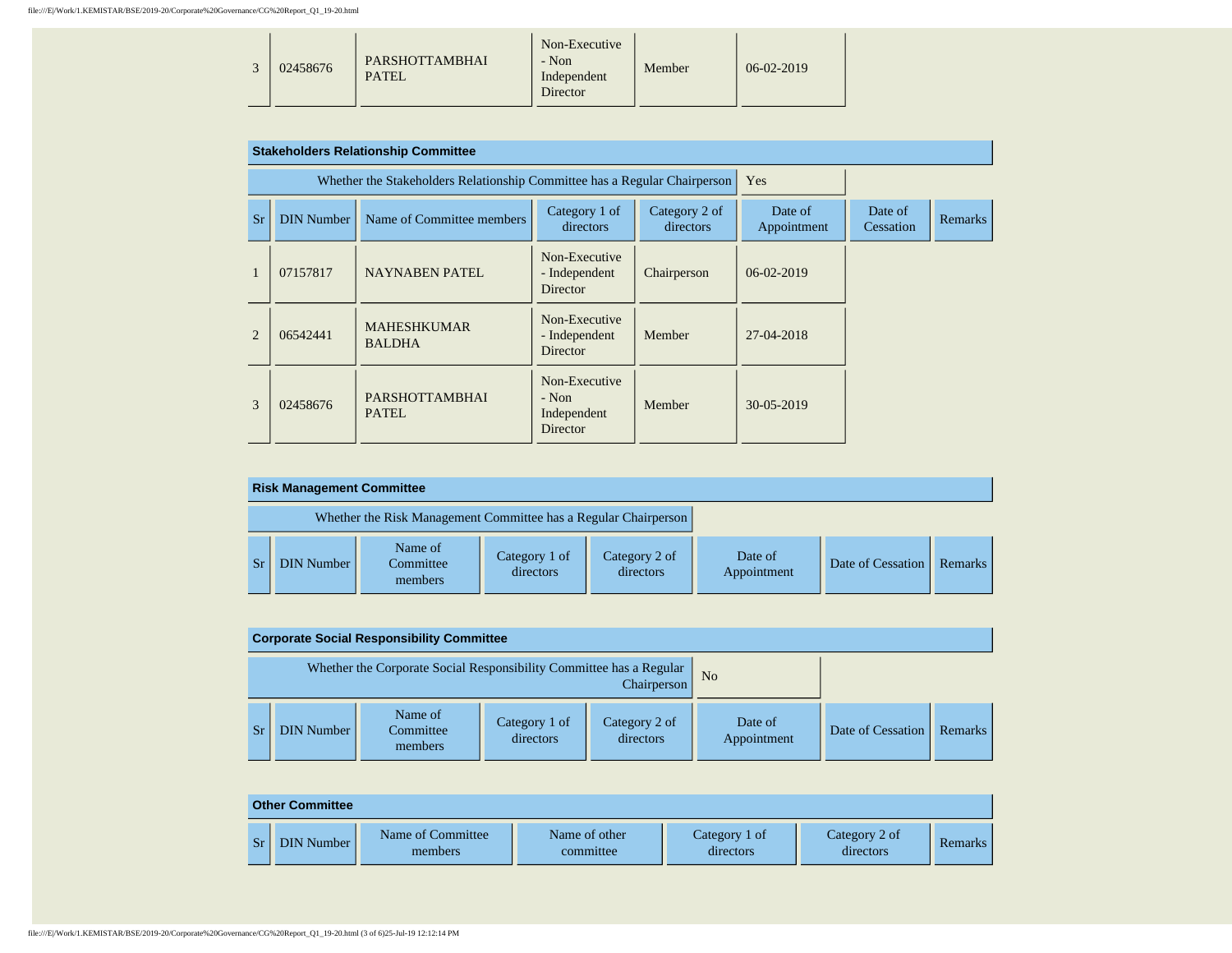|  | 02458676 | PARSHOTTAMBHAI<br><b>PATEL</b> | Non-Executive<br>- Non<br>Independent<br>Director | Member | $06-02-2019$ |  |
|--|----------|--------------------------------|---------------------------------------------------|--------|--------------|--|
|--|----------|--------------------------------|---------------------------------------------------|--------|--------------|--|

|                |                   | <b>Stakeholders Relationship Committee</b>                                |                                                     |                            |                        |                      |         |
|----------------|-------------------|---------------------------------------------------------------------------|-----------------------------------------------------|----------------------------|------------------------|----------------------|---------|
|                |                   | Whether the Stakeholders Relationship Committee has a Regular Chairperson |                                                     |                            | <b>Yes</b>             |                      |         |
| Sr             | <b>DIN Number</b> | Name of Committee members                                                 | Category 1 of<br>directors                          | Category 2 of<br>directors | Date of<br>Appointment | Date of<br>Cessation | Remarks |
|                | 07157817          | NAYNABEN PATEL                                                            | Non-Executive<br>- Independent<br><b>Director</b>   | Chairperson                | $06-02-2019$           |                      |         |
| $\overline{2}$ | 06542441          | <b>MAHESHKUMAR</b><br><b>BALDHA</b>                                       | Non-Executive<br>- Independent<br><b>Director</b>   | Member                     | $27-04-2018$           |                      |         |
| 3              | 02458676          | <b>PARSHOTTAMBHAI</b><br>PATEL.                                           | Non-Executive<br>$-$ Non<br>Independent<br>Director | Member                     | $30 - 05 - 2019$       |                      |         |

| <b>Risk Management Committee</b>                                |                                 |                            |                            |                        |                   |         |  |  |  |  |
|-----------------------------------------------------------------|---------------------------------|----------------------------|----------------------------|------------------------|-------------------|---------|--|--|--|--|
| Whether the Risk Management Committee has a Regular Chairperson |                                 |                            |                            |                        |                   |         |  |  |  |  |
| DIN Number                                                      | Name of<br>Committee<br>members | Category 1 of<br>directors | Category 2 of<br>directors | Date of<br>Appointment | Date of Cessation | Remarks |  |  |  |  |

| <b>Corporate Social Responsibility Committee</b>                                                     |                                 |                            |                            |                        |                   |         |  |  |  |  |
|------------------------------------------------------------------------------------------------------|---------------------------------|----------------------------|----------------------------|------------------------|-------------------|---------|--|--|--|--|
| Whether the Corporate Social Responsibility Committee has a Regular<br>N <sub>0</sub><br>Chairperson |                                 |                            |                            |                        |                   |         |  |  |  |  |
| <b>DIN Number</b>                                                                                    | Name of<br>Committee<br>members | Category 1 of<br>directors | Category 2 of<br>directors | Date of<br>Appointment | Date of Cessation | Remarks |  |  |  |  |

|    | <b>Other Committee</b> |                              |                            |                            |                            |         |  |  |  |  |
|----|------------------------|------------------------------|----------------------------|----------------------------|----------------------------|---------|--|--|--|--|
| Sr | <b>DIN Number</b>      | Name of Committee<br>members | Name of other<br>committee | Category 1 of<br>directors | Category 2 of<br>directors | Remarks |  |  |  |  |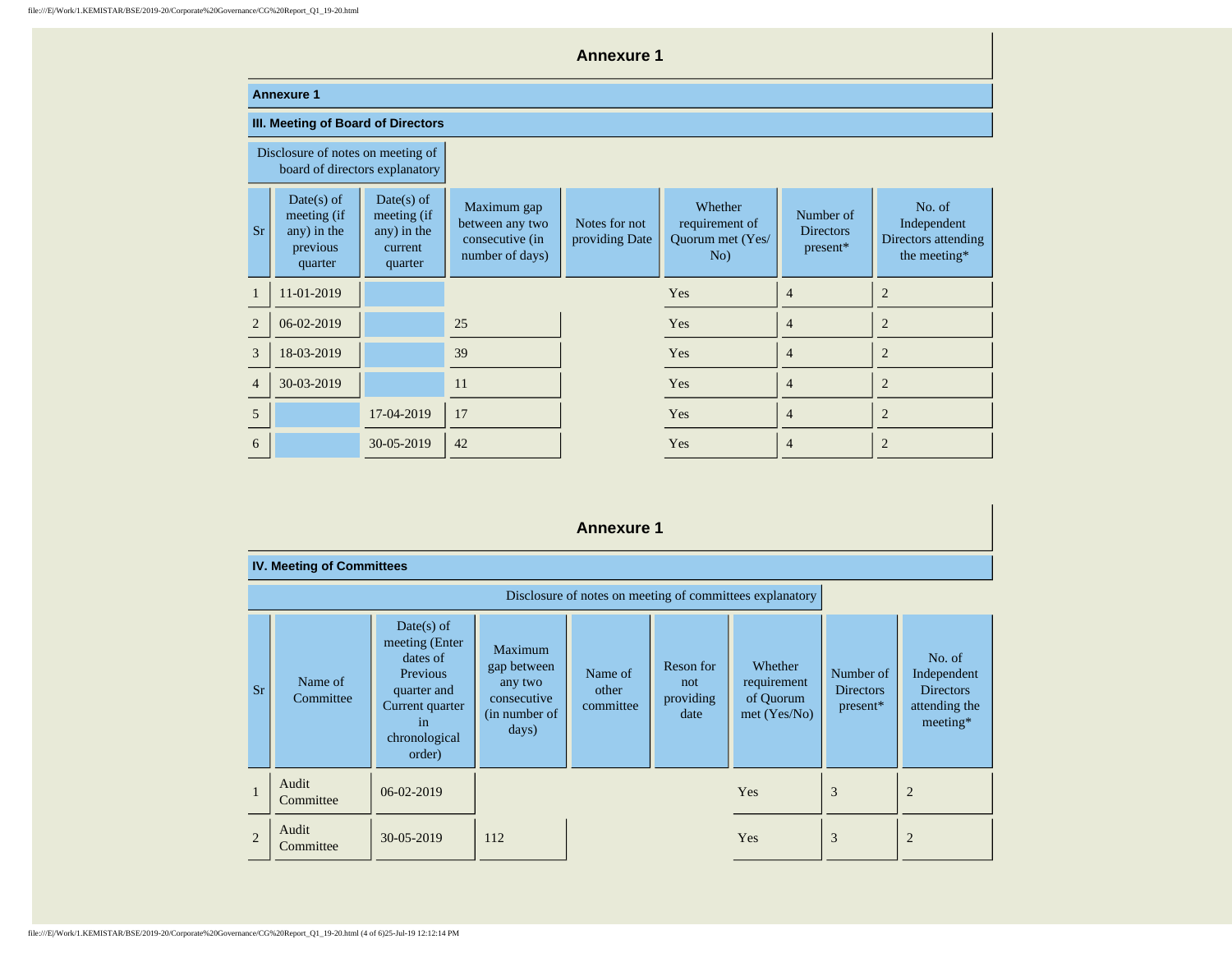|                | <b>Annexure 1</b>                                                   |                                                                  |                                                                      |                                 |                                                      |                                           |                                                              |  |  |  |
|----------------|---------------------------------------------------------------------|------------------------------------------------------------------|----------------------------------------------------------------------|---------------------------------|------------------------------------------------------|-------------------------------------------|--------------------------------------------------------------|--|--|--|
|                | <b>Annexure 1</b>                                                   |                                                                  |                                                                      |                                 |                                                      |                                           |                                                              |  |  |  |
|                | III. Meeting of Board of Directors                                  |                                                                  |                                                                      |                                 |                                                      |                                           |                                                              |  |  |  |
|                | Disclosure of notes on meeting of<br>board of directors explanatory |                                                                  |                                                                      |                                 |                                                      |                                           |                                                              |  |  |  |
| <b>Sr</b>      | $Date(s)$ of<br>meeting (if<br>any) in the<br>previous<br>quarter   | $Date(s)$ of<br>meeting (if<br>any) in the<br>current<br>quarter | Maximum gap<br>between any two<br>consecutive (in<br>number of days) | Notes for not<br>providing Date | Whether<br>requirement of<br>Quorum met (Yes/<br>No) | Number of<br><b>Directors</b><br>present* | No. of<br>Independent<br>Directors attending<br>the meeting* |  |  |  |
| $\mathbf{1}$   | 11-01-2019                                                          |                                                                  |                                                                      |                                 | Yes                                                  | 4                                         | $\overline{2}$                                               |  |  |  |
| $\overline{2}$ | 06-02-2019                                                          |                                                                  | 25                                                                   |                                 | Yes                                                  | $\overline{4}$                            | $\overline{2}$                                               |  |  |  |
| 3              | 18-03-2019                                                          |                                                                  | 39                                                                   |                                 | Yes                                                  | $\overline{4}$                            | $\overline{2}$                                               |  |  |  |
| $\overline{4}$ | 30-03-2019                                                          |                                                                  | 11                                                                   |                                 | Yes                                                  | $\overline{4}$                            | $\overline{2}$                                               |  |  |  |
| 5              |                                                                     | 17-04-2019                                                       | 17                                                                   |                                 | Yes                                                  | $\overline{4}$                            | $\overline{2}$                                               |  |  |  |
| 6              |                                                                     | 30-05-2019                                                       | 42                                                                   |                                 | Yes                                                  | $\overline{4}$                            | $\overline{2}$                                               |  |  |  |

## **Annexure 1**

|                | <b>IV. Meeting of Committees</b> |                                                                                                                           |                                                                            |                               |                                       |                                                          |                                           |                                                                        |
|----------------|----------------------------------|---------------------------------------------------------------------------------------------------------------------------|----------------------------------------------------------------------------|-------------------------------|---------------------------------------|----------------------------------------------------------|-------------------------------------------|------------------------------------------------------------------------|
|                |                                  |                                                                                                                           |                                                                            |                               |                                       | Disclosure of notes on meeting of committees explanatory |                                           |                                                                        |
| Sr             | Name of<br>Committee             | $Date(s)$ of<br>meeting (Enter<br>dates of<br>Previous<br>quarter and<br>Current quarter<br>1n<br>chronological<br>order) | Maximum<br>gap between<br>any two<br>consecutive<br>(in number of<br>days) | Name of<br>other<br>committee | Reson for<br>not<br>providing<br>date | Whether<br>requirement<br>of Quorum<br>met (Yes/No)      | Number of<br><b>Directors</b><br>present* | No. of<br>Independent<br><b>Directors</b><br>attending the<br>meeting* |
| н              | Audit<br>Committee               | 06-02-2019                                                                                                                |                                                                            |                               |                                       | Yes                                                      | 3                                         | $\overline{2}$                                                         |
| $\overline{2}$ | Audit<br>Committee               | 30-05-2019                                                                                                                | 112                                                                        |                               |                                       | Yes                                                      | 3                                         | $\overline{2}$                                                         |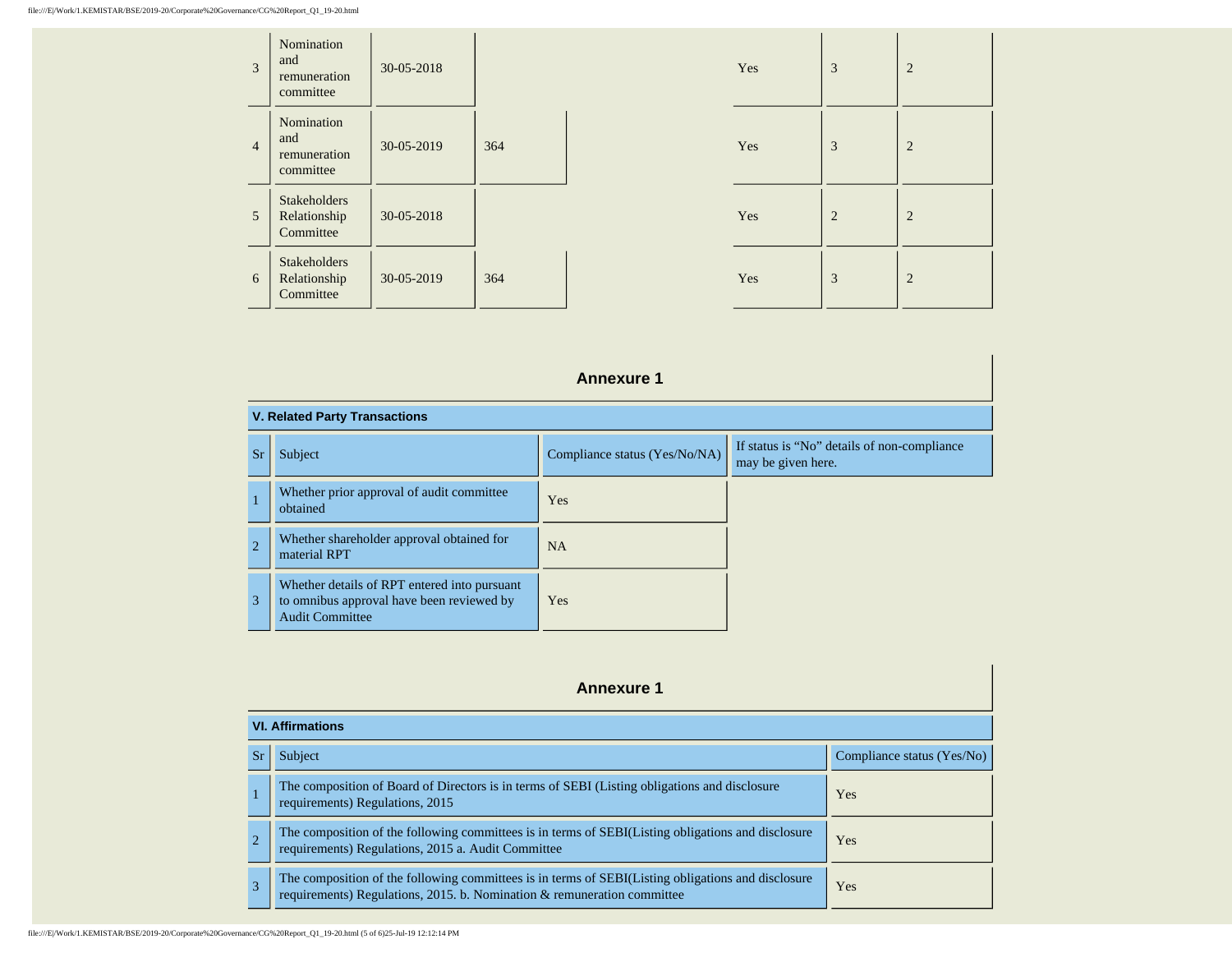| 3              | Nomination<br>and<br>remuneration<br>committee   | $30 - 05 - 2018$ |     |
|----------------|--------------------------------------------------|------------------|-----|
| $\overline{4}$ | Nomination<br>and<br>remuneration<br>committee   | 30-05-2019       | 364 |
| 5              | <b>Stakeholders</b><br>Relationship<br>Committee | 30-05-2018       |     |
| 6              | <b>Stakeholders</b><br>Relationship<br>Committee | 30-05-2019       | 364 |

| 30-05-2018 |     | Yes | $\overline{3}$ | $\overline{2}$ |  |
|------------|-----|-----|----------------|----------------|--|
| 30-05-2019 | 364 | Yes | $\overline{3}$ | $\overline{2}$ |  |
| 30-05-2018 |     | Yes | $\overline{2}$ | $\overline{2}$ |  |
| 30-05-2019 | 364 | Yes | 3              | $\overline{2}$ |  |

## **Annexure 1**

| <b>V. Related Party Transactions</b> |                                                                                                                     |                               |                                                                   |
|--------------------------------------|---------------------------------------------------------------------------------------------------------------------|-------------------------------|-------------------------------------------------------------------|
| <b>Sr</b>                            | <b>Subject</b>                                                                                                      | Compliance status (Yes/No/NA) | If status is "No" details of non-compliance<br>may be given here. |
|                                      | Whether prior approval of audit committee<br>obtained                                                               | Yes                           |                                                                   |
| $\overline{2}$                       | Whether shareholder approval obtained for<br>material RPT                                                           | <b>NA</b>                     |                                                                   |
| 3                                    | Whether details of RPT entered into pursuant<br>to omnibus approval have been reviewed by<br><b>Audit Committee</b> | Yes                           |                                                                   |

# **Annexure 1**

| <b>VI. Affirmations</b>                                                                                                                                                    |                            |  |  |
|----------------------------------------------------------------------------------------------------------------------------------------------------------------------------|----------------------------|--|--|
| Subject                                                                                                                                                                    | Compliance status (Yes/No) |  |  |
| The composition of Board of Directors is in terms of SEBI (Listing obligations and disclosure<br>requirements) Regulations, 2015                                           | <b>Yes</b>                 |  |  |
| The composition of the following committees is in terms of SEBI(Listing obligations and disclosure<br>requirements) Regulations, 2015 a. Audit Committee                   | <b>Yes</b>                 |  |  |
| The composition of the following committees is in terms of SEBI(Listing obligations and disclosure requirements) Regulations, 2015. b. Nomination & remuneration committee | Yes                        |  |  |